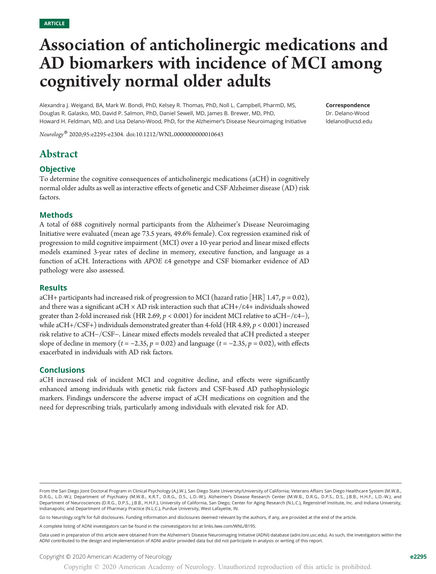# Association of anticholinergic medications and AD biomarkers with incidence of MCI among cognitively normal older adults

Alexandra J. Weigand, BA, Mark W. Bondi, PhD, Kelsey R. Thomas, PhD, Noll L. Campbell, PharmD, MS, Douglas R. Galasko, MD, David P. Salmon, PhD, Daniel Sewell, MD, James B. Brewer, MD, PhD, Howard H. Feldman, MD, and Lisa Delano-Wood, PhD, for the Alzheimer's Disease Neuroimaging Initiative

Neurology® 2020;95:e2295-e2304. doi[:10.1212/WNL.0000000000010643](http://dx.doi.org/10.1212/WNL.0000000000010643)

## Correspondence Dr. Delano-Wood [ldelano@ucsd.edu](mailto:ldelano@ucsd.edu)

# Abstract

# **Objective**

To determine the cognitive consequences of anticholinergic medications (aCH) in cognitively normal older adults as well as interactive effects of genetic and CSF Alzheimer disease (AD) risk factors.

# Methods

A total of 688 cognitively normal participants from the Alzheimer's Disease Neuroimaging Initiative were evaluated (mean age 73.5 years, 49.6% female). Cox regression examined risk of progression to mild cognitive impairment (MCI) over a 10-year period and linear mixed effects models examined 3-year rates of decline in memory, executive function, and language as a function of aCH. Interactions with APOE <sup>e</sup>4 genotype and CSF biomarker evidence of AD pathology were also assessed.

# **Results**

aCH+ participants had increased risk of progression to MCI (hazard ratio [HR] 1.47,  $p = 0.02$ ), and there was a significant aCH  $\times$  AD risk interaction such that aCH+/ $\varepsilon$ 4+ individuals showed greater than 2-fold increased risk (HR 2.69,  $p < 0.001$ ) for incident MCI relative to aCH-/ $\varepsilon$ 4-), while aCH+/CSF+) individuals demonstrated greater than 4-fold (HR 4.89,  $p < 0.001$ ) increased risk relative to aCH−/CSF−. Linear mixed effects models revealed that aCH predicted a steeper slope of decline in memory ( $t = -2.35$ ,  $p = 0.02$ ) and language ( $t = -2.35$ ,  $p = 0.02$ ), with effects exacerbated in individuals with AD risk factors.

# **Conclusions**

aCH increased risk of incident MCI and cognitive decline, and effects were significantly enhanced among individuals with genetic risk factors and CSF-based AD pathophysiologic markers. Findings underscore the adverse impact of aCH medications on cognition and the need for deprescribing trials, particularly among individuals with elevated risk for AD.

Go to [Neurology.org/N](https://n.neurology.org/lookup/doi/10.1212/WNL.0000000000010643) for full disclosures. Funding information and disclosures deemed relevant by the authors, if any, are provided at the end of the article.

A complete listing of ADNI investigators can be found in the coinvestigators list at [links.lww.com/WNL/B195.](http://links.lww.com/WNL/B195)

From the San Diego Joint Doctoral Program in Clinical Psychology (A.J.W.), San Diego State University/University of California; Veterans Affairs San Diego Healthcare System (M.W.B., D.R.G., L.D.-W.); Department of Psychiatry (M.W.B., K.R.T., D.R.G., D.S., L.D.-W.), Alzheimer's Disease Research Center (M.W.B., D.R.G., D.P.S., D.S., J.B.B., H.H.F., L.D.-W.), and Department of Neurosciences (D.R.G., D.P.S., J.B.B., H.H.F.), University of California, San Diego; Center for Aging Research (N.L.C.), Regenstrief Institute, Inc. and Indiana University, Indianapolis; and Department of Pharmacy Practice (N.L.C.), Purdue University, West Lafayette, IN.

Data used in preparation of this article were obtained from the Alzheimer's Disease Neuroimaging Initiative (ADNI) database [\(adni.loni.usc.edu\)](http://adni.loni.usc.edu). As such, the investigators within the ADNI contributed to the design and implementation of ADNI and/or provided data but did not participate in analysis or writing of this report.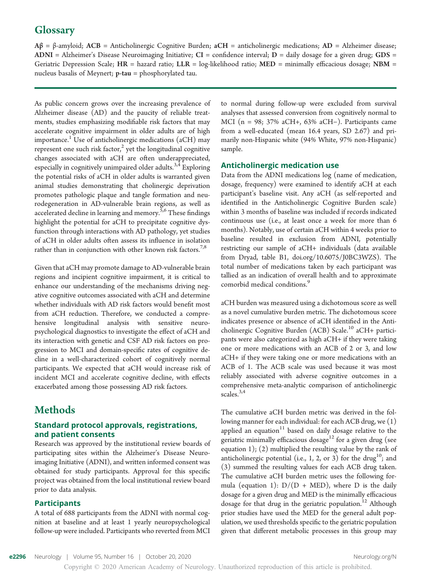# **Glossary**

 $A\beta = \beta$ -amyloid; ACB = Anticholinergic Cognitive Burden; aCH = anticholinergic medications; AD = Alzheimer disease;  $\bf ADNI$  = Alzheimer's Disease Neuroimaging Initiative;  $\bf CI$  = confidence interval;  $\bf D$  = daily dosage for a given drug;  $\bf GDS$  = Geriatric Depression Scale;  $HR =$  hazard ratio;  $LLR =$  log-likelihood ratio;  $MED =$  minimally efficacious dosage;  $NBM =$ nucleus basalis of Meynert; p-tau = phosphorylated tau.

As public concern grows over the increasing prevalence of Alzheimer disease (AD) and the paucity of reliable treatments, studies emphasizing modifiable risk factors that may accelerate cognitive impairment in older adults are of high importance.<sup>1</sup> Use of anticholinergic medications (aCH) may represent one such risk factor, $2$  yet the longitudinal cognitive changes associated with aCH are often underappreciated, especially in cognitively unimpaired older adults.<sup>3,4</sup> Exploring the potential risks of aCH in older adults is warranted given animal studies demonstrating that cholinergic deprivation promotes pathologic plaque and tangle formation and neurodegeneration in AD-vulnerable brain regions, as well as accelerated decline in learning and memory.<sup>5,6</sup> These findings highlight the potential for aCH to precipitate cognitive dysfunction through interactions with AD pathology, yet studies of aCH in older adults often assess its influence in isolation rather than in conjunction with other known risk factors.<sup>7,8</sup>

Given that aCH may promote damage to AD-vulnerable brain regions and incipient cognitive impairment, it is critical to enhance our understanding of the mechanisms driving negative cognitive outcomes associated with aCH and determine whether individuals with AD risk factors would benefit most from aCH reduction. Therefore, we conducted a comprehensive longitudinal analysis with sensitive neuropsychological diagnostics to investigate the effect of aCH and its interaction with genetic and CSF AD risk factors on progression to MCI and domain-specific rates of cognitive decline in a well-characterized cohort of cognitively normal participants. We expected that aCH would increase risk of incident MCI and accelerate cognitive decline, with effects exacerbated among those possessing AD risk factors.

# **Methods**

# Standard protocol approvals, registrations, and patient consents

Research was approved by the institutional review boards of participating sites within the Alzheimer's Disease Neuroimaging Initiative (ADNI), and written informed consent was obtained for study participants. Approval for this specific project was obtained from the local institutional review board prior to data analysis.

# Participants

A total of 688 participants from the ADNI with normal cognition at baseline and at least 1 yearly neuropsychological follow-up were included. Participants who reverted from MCI

to normal during follow-up were excluded from survival analyses that assessed conversion from cognitively normal to MCI (n = 98; 37% aCH+, 63% aCH−). Participants came from a well-educated (mean 16.4 years, SD 2.67) and primarily non-Hispanic white (94% White, 97% non-Hispanic) sample.

# Anticholinergic medication use

Data from the ADNI medications log (name of medication, dosage, frequency) were examined to identify aCH at each participant's baseline visit. Any aCH (as self-reported and identified in the Anticholinergic Cognitive Burden scale) within 3 months of baseline was included if records indicated continuous use (i.e., at least once a week for more than 6 months). Notably, use of certain aCH within 4 weeks prior to baseline resulted in exclusion from ADNI, potentially restricting our sample of aCH+ individuals (data available from Dryad, table B1, [doi.org/10.6075/J0BC3WZS\)](https://doi.org/10.6075/J0BC3WZS). The total number of medications taken by each participant was tallied as an indication of overall health and to approximate comorbid medical conditions.<sup>9</sup>

aCH burden was measured using a dichotomous score as well as a novel cumulative burden metric. The dichotomous score indicates presence or absence of aCH identified in the Anticholinergic Cognitive Burden (ACB) Scale.<sup>10</sup> aCH+ participants were also categorized as high aCH+ if they were taking one or more medications with an ACB of 2 or 3, and low aCH+ if they were taking one or more medications with an ACB of 1. The ACB scale was used because it was most reliably associated with adverse cognitive outcomes in a comprehensive meta-analytic comparison of anticholinergic scales.<sup>3,4</sup>

The cumulative aCH burden metric was derived in the following manner for each individual: for each ACB drug, we (1) applied an equation $11$  based on daily dosage relative to the geriatric minimally efficacious dosage<sup>12</sup> for a given drug (see equation 1); (2) multiplied the resulting value by the rank of anticholinergic potential (i.e., 1, 2, or 3) for the drug<sup>10</sup>; and (3) summed the resulting values for each ACB drug taken. The cumulative aCH burden metric uses the following formula (equation 1):  $D/(D + MED)$ , where D is the daily dosage for a given drug and MED is the minimally efficacious dosage for that drug in the geriatric population.<sup>12</sup> Although prior studies have used the MED for the general adult population, we used thresholds specific to the geriatric population given that different metabolic processes in this group may

e2296 Neurology | Volume 95, Number 16 | October 20, 2020 [Neurology.org/N](http://neurology.org/n) Neurology.org/N

Copyright © 2020 American Academy of Neurology. Unauthorized reproduction of this article is prohibited.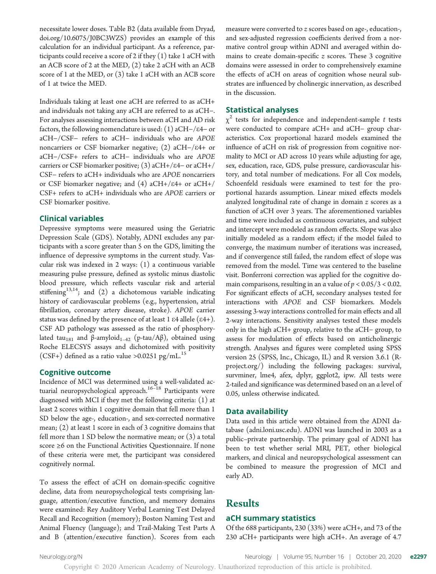necessitate lower doses. Table B2 (data available from Dryad, [doi.org/10.6075/J0BC3WZS\)](https://doi.org/10.6075/J0BC3WZS) provides an example of this calculation for an individual participant. As a reference, participants could receive a score of 2 if they (1) take 1 aCH with an ACB score of 2 at the MED, (2) take 2 aCH with an ACB score of 1 at the MED, or (3) take 1 aCH with an ACB score of 1 at twice the MED.

Individuals taking at least one aCH are referred to as aCH+ and individuals not taking any aCH are referred to as aCH−. For analyses assessing interactions between aCH and AD risk factors, the following nomenclature is used: (1) aCH–/ $\varepsilon$ 4– or aCH−/CSF<sup>−</sup> refers to aCH<sup>−</sup> individuals who are APOE noncarriers or CSF biomarker negative; (2) aCH-/ $\varepsilon$ 4+ or aCH−/CSF+ refers to aCH<sup>−</sup> individuals who are APOE carriers or CSF biomarker positive; (3) aCH+/ $\varepsilon$ 4– or aCH+/ CSF<sup>−</sup> refers to aCH+ individuals who are APOE noncarriers or CSF biomarker negative; and  $(4)$  aCH+/ $\varepsilon$ 4+ or aCH+/ CSF+ refers to aCH+ individuals who are APOE carriers or CSF biomarker positive.

# Clinical variables

Depressive symptoms were measured using the Geriatric Depression Scale (GDS). Notably, ADNI excludes any participants with a score greater than 5 on the GDS, limiting the influence of depressive symptoms in the current study. Vascular risk was indexed in 2 ways: (1) a continuous variable measuring pulse pressure, defined as systolic minus diastolic blood pressure, which reflects vascular risk and arterial stiffening<sup>13,14</sup>; and (2) a dichotomous variable indicating history of cardiovascular problems (e.g., hypertension, atrial fibrillation, coronary artery disease, stroke). APOE carrier status was defined by the presence of at least 1  $\varepsilon$ 4 allele ( $\varepsilon$ 4+). CSF AD pathology was assessed as the ratio of phosphorylated tau<sub>181</sub> and β-amyloid<sub>1–42</sub> (p-tau/Aβ), obtained using Roche ELECSYS assays and dichotomized with positivity  $(CSF+)$  defined as a ratio value >0.0251 pg/mL.<sup>15</sup>

#### Cognitive outcome

Incidence of MCI was determined using a well-validated actuarial neuropsychological approach.<sup>16–18</sup> Participants were diagnosed with MCI if they met the following criteria: (1) at least 2 scores within 1 cognitive domain that fell more than 1 SD below the age-, education-, and sex-corrected normative mean; (2) at least 1 score in each of 3 cognitive domains that fell more than 1 SD below the normative mean; or (3) a total score ≥6 on the Functional Activities Questionnaire. If none of these criteria were met, the participant was considered cognitively normal.

To assess the effect of aCH on domain-specific cognitive decline, data from neuropsychological tests comprising language, attention/executive function, and memory domains were examined: Rey Auditory Verbal Learning Test Delayed Recall and Recognition (memory); Boston Naming Test and Animal Fluency (language); and Trail-Making Test Parts A and B (attention/executive function). Scores from each

measure were converted to z scores based on age-, education-, and sex-adjusted regression coefficients derived from a normative control group within ADNI and averaged within domains to create domain-specific  $z$  scores. These 3 cognitive domains were assessed in order to comprehensively examine the effects of aCH on areas of cognition whose neural substrates are influenced by cholinergic innervation, as described in the discussion.

## Statistical analyses

 $\chi^2$  tests for independence and independent-sample t tests were conducted to compare aCH+ and aCH− group characteristics. Cox proportional hazard models examined the influence of aCH on risk of progression from cognitive normality to MCI or AD across 10 years while adjusting for age, sex, education, race, GDS, pulse pressure, cardiovascular history, and total number of medications. For all Cox models, Schoenfeld residuals were examined to test for the proportional hazards assumption. Linear mixed effects models analyzed longitudinal rate of change in domain z scores as a function of aCH over 3 years. The aforementioned variables and time were included as continuous covariates, and subject and intercept were modeled as random effects. Slope was also initially modeled as a random effect; if the model failed to converge, the maximum number of iterations was increased, and if convergence still failed, the random effect of slope was removed from the model. Time was centered to the baseline visit. Bonferroni correction was applied for the cognitive domain comparisons, resulting in an  $\alpha$  value of  $p < 0.05/3 < 0.02$ . For significant effects of aCH, secondary analyses tested for interactions with APOE and CSF biomarkers. Models assessing 3-way interactions controlled for main effects and all 2-way interactions. Sensitivity analyses tested these models only in the high aCH+ group, relative to the aCH− group, to assess for modulation of effects based on anticholinergic strength. Analyses and figures were completed using SPSS version 25 (SPSS, Inc., Chicago, IL) and R version 3.6.1 ([R](https://www.r-project.org/)[project.org/](https://www.r-project.org/)) including the following packages: survival, survminer, lme4, afex, dplyr, ggplot2, ipw. All tests were 2-tailed and significance was determined based on an α level of 0.05, unless otherwise indicated.

# Data availability

Data used in this article were obtained from the ADNI database [\(adni.loni.usc.edu\)](http://adni.loni.usc.edu). ADNI was launched in 2003 as a public–private partnership. The primary goal of ADNI has been to test whether serial MRI, PET, other biological markers, and clinical and neuropsychological assessment can be combined to measure the progression of MCI and early AD.

# Results

# aCH summary statistics

Of the 688 participants, 230 (33%) were aCH+, and 73 of the 230 aCH+ participants were high aCH+. An average of 4.7

[Neurology.org/N](http://neurology.org/n) Neurology | Volume 95, Number 16 | October 20, 2020 **e2297**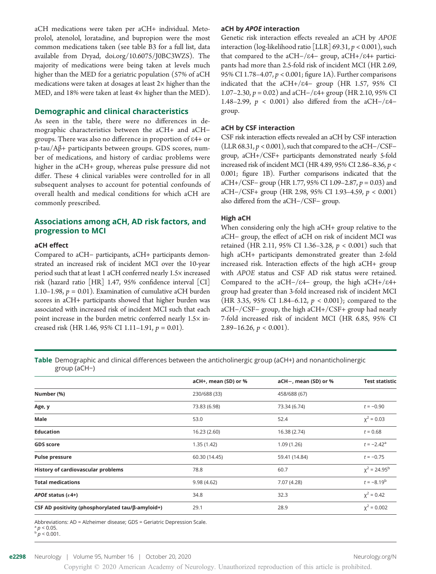aCH medications were taken per aCH+ individual. Metoprolol, atenolol, loratadine, and bupropion were the most common medications taken (see table B3 for a full list, data available from Dryad, [doi.org/10.6075/J0BC3WZS](https://doi.org/10.6075/J0BC3WZS)). The majority of medications were being taken at levels much higher than the MED for a geriatric population (57% of aCH medications were taken at dosages at least 2× higher than the MED, and 18% were taken at least  $4\times$  higher than the MED).

## Demographic and clinical characteristics

As seen in the table, there were no differences in demographic characteristics between the aCH+ and aCH− groups. There was also no difference in proportion of e4+ or p-tau/Aβ+ participants between groups. GDS scores, number of medications, and history of cardiac problems were higher in the aCH+ group, whereas pulse pressure did not differ. These 4 clinical variables were controlled for in all subsequent analyses to account for potential confounds of overall health and medical conditions for which aCH are commonly prescribed.

# Associations among aCH, AD risk factors, and progression to MCI

## aCH effect

Compared to aCH− participants, aCH+ participants demonstrated an increased risk of incident MCI over the 10-year period such that at least 1 aCH conferred nearly 1.5× increased risk (hazard ratio [HR] 1.47, 95% confidence interval [CI] 1.10–1.98,  $p = 0.01$ ). Examination of cumulative aCH burden scores in aCH+ participants showed that higher burden was associated with increased risk of incident MCI such that each point increase in the burden metric conferred nearly 1.5× increased risk (HR 1.46, 95% CI 1.11-1.91,  $p = 0.01$ ).

#### aCH by APOE interaction

Genetic risk interaction effects revealed an aCH by APOE interaction (log-likelihood ratio [LLR] 69.31,  $p < 0.001$ ), such that compared to the aCH−/e4− group, aCH+/e4+ participants had more than 2.5-fold risk of incident MCI (HR 2.69, 95% CI 1.78–4.07,  $p < 0.001$ ; figure 1A). Further comparisons indicated that the aCH+/e4− group (HR 1.57, 95% CI 1.07–2.30,  $p = 0.02$ ) and aCH–/ε4+ group (HR 2.10, 95% CI 1.48–2.99,  $p < 0.001$ ) also differed from the aCH-/ $\varepsilon$ 4– group.

### aCH by CSF interaction

CSF risk interaction effects revealed an aCH by CSF interaction (LLR 68.31,  $p$  < 0.001), such that compared to the aCH–/CSF– group, aCH+/CSF+ participants demonstrated nearly 5-fold increased risk of incident MCI (HR 4.89, 95% CI 2.86–8.36, p <sup>&</sup>lt; 0.001; figure 1B). Further comparisons indicated that the aCH+/CSF<sup>−</sup> group (HR 1.77, 95% CI 1.09–2.87, p = 0.03) and aCH−/CSF+ group (HR 2.98, 95% CI 1.93–4.59, p < 0.001) also differed from the aCH−/CSF− group.

#### High aCH

When considering only the high aCH+ group relative to the aCH− group, the effect of aCH on risk of incident MCI was retained (HR 2.11, 95% CI 1.36–3.28, p < 0.001) such that high aCH+ participants demonstrated greater than 2-fold increased risk. Interaction effects of the high aCH+ group with APOE status and CSF AD risk status were retained. Compared to the aCH−/e4− group, the high aCH+/e4+ group had greater than 3-fold increased risk of incident MCI (HR 3.35, 95% CI 1.84–6.12,  $p < 0.001$ ); compared to the aCH−/CSF− group, the high aCH+/CSF+ group had nearly 7-fold increased risk of incident MCI (HR 6.85, 95% CI 2.89–16.26,  $p < 0.001$ ).

Table Demographic and clinical differences between the anticholinergic group (aCH+) and nonanticholinergic group (aCH−)

|                                                   | aCH+, mean (SD) or % | aCH-, mean (SD) or % | <b>Test statistic</b>         |
|---------------------------------------------------|----------------------|----------------------|-------------------------------|
| Number (%)                                        | 230/688 (33)         | 458/688 (67)         |                               |
| Age, y                                            | 73.83 (6.98)         | 73.34 (6.74)         | $t = -0.90$                   |
| Male                                              | 53.0                 | 52.4                 | $\chi^2 = 0.03$               |
| <b>Education</b>                                  | 16.23 (2.60)         | 16.38 (2.74)         | $t = 0.68$                    |
| <b>GDS</b> score                                  | 1.35(1.42)           | 1.09(1.26)           | $t = -2.42^a$                 |
| <b>Pulse pressure</b>                             | 60.30 (14.45)        | 59.41 (14.84)        | $t = -0.75$                   |
| History of cardiovascular problems                | 78.8                 | 60.7                 | $\chi^2$ = 24.95 <sup>b</sup> |
| <b>Total medications</b>                          | 9.98(4.62)           | 7.07 (4.28)          | $t = -8.19^b$                 |
| APOE status $(\epsilon 4+)$                       | 34.8                 | 32.3                 | $x^2 = 0.42$                  |
| CSF AD positivity (phosphorylated tau/ß-amyloid+) | 29.1                 | 28.9                 | $\chi^2$ = 0.002              |
|                                                   |                      |                      |                               |

Abbreviations: AD = Alzheimer disease; GDS = Geriatric Depression Scale.<br><sup>a</sup>  $p < 0.05$ .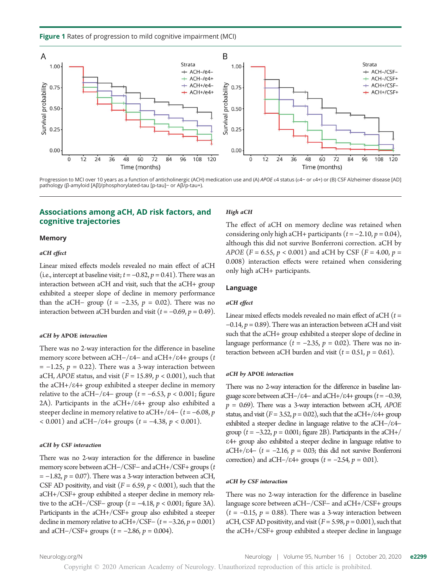Figure 1 Rates of progression to mild cognitive impairment (MCI)



Progression to MCI over 10 years as a function of anticholinergic (ACH) medication use and (A) APOE ε4 status (ε4- or ε4+) or (B) CSF Alzheimer disease [AD] pathology (β-amyloid [Aβ]/phosphorylated-tau [p-tau]− or Aβ/p-tau+).

# Associations among aCH, AD risk factors, and cognitive trajectories

#### Memory

#### aCH effect

Linear mixed effects models revealed no main effect of aCH (i.e., intercept at baseline visit;  $t = -0.82$ ,  $p = 0.41$ ). There was an interaction between aCH and visit, such that the aCH+ group exhibited a steeper slope of decline in memory performance than the aCH- group ( $t = -2.35$ ,  $p = 0.02$ ). There was no interaction between aCH burden and visit ( $t = -0.69$ ,  $p = 0.49$ ).

#### aCH by APOE interaction

There was no 2-way interaction for the difference in baseline memory score between aCH–/ $\varepsilon$ 4− and aCH+/ $\varepsilon$ 4+ groups (t  $= -1.25$ ,  $p = 0.22$ ). There was a 3-way interaction between aCH, APOE status, and visit ( $F = 15.89$ ,  $p < 0.001$ ), such that the  $aCH+/E4+$  group exhibited a steeper decline in memory relative to the aCH−/ $\varepsilon$ 4− group ( $t = -6.53$ ,  $p < 0.001$ ; figure 2A). Participants in the  $aCH+}/\epsilon 4+$  group also exhibited a steeper decline in memory relative to aCH+/ $\varepsilon$ 4− (t = −6.08, p  $<$  0.001) and aCH−/ε4+ groups (t = −4.38, p < 0.001).

#### aCH by CSF interaction

There was no 2-way interaction for the difference in baseline memory score between aCH−/CSF<sup>−</sup> and aCH+/CSF+ groups (t  $= -1.82$ ,  $p = 0.07$ ). There was a 3-way interaction between aCH, CSF AD positivity, and visit ( $F = 6.59$ ,  $p < 0.001$ ), such that the aCH+/CSF+ group exhibited a steeper decline in memory relative to the aCH−/CSF− group ( $t = -4.18$ ,  $p < 0.001$ ; figure 3A). Participants in the aCH+/CSF+ group also exhibited a steeper decline in memory relative to aCH+/CSF−  $(t = -3.26, p = 0.001)$ and aCH–/CSF+ groups  $(t = -2.86, p = 0.004)$ .

#### High aCH

The effect of aCH on memory decline was retained when considering only high aCH+ participants  $(t = -2.10, p = 0.04)$ , although this did not survive Bonferroni correction. aCH by APOE (F = 6.55,  $p < 0.001$ ) and aCH by CSF (F = 4.00,  $p =$ 0.008) interaction effects were retained when considering only high aCH+ participants.

# Language

#### aCH effect

Linear mixed effects models revealed no main effect of aCH  $(t =$  $-0.14$ ,  $p = 0.89$ ). There was an interaction between aCH and visit such that the aCH+ group exhibited a steeper slope of decline in language performance ( $t = -2.35$ ,  $p = 0.02$ ). There was no interaction between aCH burden and visit ( $t = 0.51$ ,  $p = 0.61$ ).

#### aCH by APOE interaction

There was no 2-way interaction for the difference in baseline language score between aCH–/ $\varepsilon$ 4− and aCH+/ $\varepsilon$ 4+ groups ( $t = -0.39$ ,  $p = 0.69$ ). There was a 3-way interaction between aCH, APOE status, and visit ( $F = 3.52$ ,  $p = 0.02$ ), such that the aCH+/ $\varepsilon$ 4+ group exhibited a steeper decline in language relative to the aCH-/ε4− group ( $t = -3.22$ ,  $p = 0.001$ ; figure 2B). Participants in the aCH+/ e4+ group also exhibited a steeper decline in language relative to aCH+/ $\epsilon$ 4− (t = -2.16, p = 0.03; this did not survive Bonferroni correction) and aCH–/ $\varepsilon$ 4+ groups ( $t = -2.54$ ,  $p = 0.01$ ).

#### aCH by CSF interaction

There was no 2-way interaction for the difference in baseline language score between aCH−/CSF− and aCH+/CSF+ groups  $(t = -0.15, p = 0.88)$ . There was a 3-way interaction between aCH, CSF AD positivity, and visit ( $F = 5.98$ ,  $p = 0.001$ ), such that the aCH+/CSF+ group exhibited a steeper decline in language

[Neurology.org/N](http://neurology.org/n) Neurology | Volume 95, Number 16 | October 20, 2020 **e2299** 

Copyright © 2020 American Academy of Neurology. Unauthorized reproduction of this article is prohibited.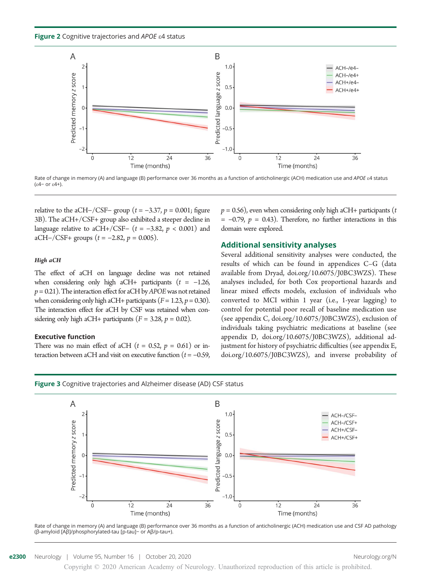Figure 2 Cognitive trajectories and APOE  $\epsilon$ 4 status



Rate of change in memory (A) and language (B) performance over 36 months as a function of anticholinergic (ACH) medication use and APOE &4 status (e4− or e4+).

relative to the aCH−/CSF− group ( $t = -3.37$ ,  $p = 0.001$ ; figure 3B). The aCH+/CSF+ group also exhibited a steeper decline in language relative to aCH+/CSF− ( $t = -3.82$ ,  $p < 0.001$ ) and aCH–/CSF+ groups  $(t = -2.82, p = 0.005)$ .

#### High aCH

The effect of aCH on language decline was not retained when considering only high aCH+ participants  $(t = -1.26$ ,  $p = 0.21$ ). The interaction effect for aCH by APOE was not retained when considering only high aCH+ participants ( $F = 1.23$ ,  $p = 0.30$ ). The interaction effect for aCH by CSF was retained when considering only high aCH+ participants ( $F = 3.28$ ,  $p = 0.02$ ).

#### Executive function

There was no main effect of aCH  $(t = 0.52, p = 0.61)$  or interaction between aCH and visit on executive function ( $t = -0.59$ ,



#### Additional sensitivity analyses

Several additional sensitivity analyses were conducted, the results of which can be found in appendices C–G (data available from Dryad, [doi.org/10.6075/J0BC3WZS](https://doi.org/10.6075/J0BC3WZS)). These analyses included, for both Cox proportional hazards and linear mixed effects models, exclusion of individuals who converted to MCI within 1 year (i.e., 1-year lagging) to control for potential poor recall of baseline medication use (see appendix C, [doi.org/10.6075/J0BC3WZS\)](https://doi.org/10.6075/J0BC3WZS), exclusion of individuals taking psychiatric medications at baseline (see appendix D, [doi.org/10.6075/J0BC3WZS\)](https://doi.org/10.6075/J0BC3WZS), additional adjustment for history of psychiatric difficulties (see appendix E, [doi.org/10.6075/J0BC3WZS\)](https://doi.org/10.6075/J0BC3WZS), and inverse probability of





Copyright © 2020 American Academy of Neurology. Unauthorized reproduction of this article is prohibited.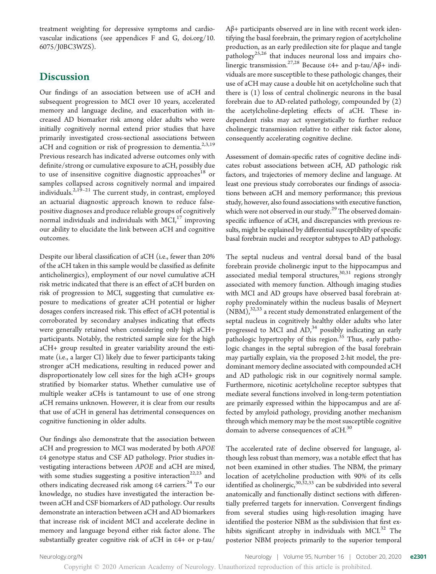treatment weighting for depressive symptoms and cardiovascular indications (see appendices F and G, [doi.org/10.](https://doi.org/10.6075/J0BC3WZS) [6075/J0BC3WZS](https://doi.org/10.6075/J0BC3WZS)).

# **Discussion**

Our findings of an association between use of aCH and subsequent progression to MCI over 10 years, accelerated memory and language decline, and exacerbation with increased AD biomarker risk among older adults who were initially cognitively normal extend prior studies that have primarily investigated cross-sectional associations between aCH and cognition or risk of progression to dementia.<sup>2,3,19</sup> Previous research has indicated adverse outcomes only with definite/strong or cumulative exposure to aCH, possibly due to use of insensitive cognitive diagnostic approaches<sup>18</sup> or samples collapsed across cognitively normal and impaired individuals.2,19–<sup>21</sup> The current study, in contrast, employed an actuarial diagnostic approach known to reduce falsepositive diagnoses and produce reliable groups of cognitively normal individuals and individuals with  $MCI<sub>1</sub><sup>17</sup>$  improving our ability to elucidate the link between aCH and cognitive outcomes.

Despite our liberal classification of aCH (i.e., fewer than 20% of the aCH taken in this sample would be classified as definite anticholinergics), employment of our novel cumulative aCH risk metric indicated that there is an effect of aCH burden on risk of progression to MCI, suggesting that cumulative exposure to medications of greater aCH potential or higher dosages confers increased risk. This effect of aCH potential is corroborated by secondary analyses indicating that effects were generally retained when considering only high aCH+ participants. Notably, the restricted sample size for the high aCH+ group resulted in greater variability around the estimate (i.e., a larger CI) likely due to fewer participants taking stronger aCH medications, resulting in reduced power and disproportionately low cell sizes for the high aCH+ groups stratified by biomarker status. Whether cumulative use of multiple weaker aCHs is tantamount to use of one strong aCH remains unknown. However, it is clear from our results that use of aCH in general has detrimental consequences on cognitive functioning in older adults.

Our findings also demonstrate that the association between aCH and progression to MCI was moderated by both APOE e4 genotype status and CSF AD pathology. Prior studies investigating interactions between APOE and aCH are mixed, with some studies suggesting a positive interaction<sup>22,23</sup> and others indicating decreased risk among  $\varepsilon$ 4 carriers.<sup>24</sup> To our knowledge, no studies have investigated the interaction between aCH and CSF biomarkers of AD pathology. Our results demonstrate an interaction between aCH and AD biomarkers that increase risk of incident MCI and accelerate decline in memory and language beyond either risk factor alone. The substantially greater cognitive risk of aCH in e4+ or p-tau/

Copyright © 2020 American Academy of Neurology. Unauthorized reproduction of this article is prohibited.

Aβ+ participants observed are in line with recent work identifying the basal forebrain, the primary region of acetylcholine production, as an early predilection site for plaque and tangle pathology<sup>25,26</sup> that induces neuronal loss and impairs cholinergic transmission.<sup>27,28</sup> Because  $\varepsilon$ 4+ and p-tau/A $\beta$ + individuals are more susceptible to these pathologic changes, their use of aCH may cause a double hit on acetylcholine such that there is (1) loss of central cholinergic neurons in the basal forebrain due to AD-related pathology, compounded by (2) the acetylcholine-depleting effects of aCH. These independent risks may act synergistically to further reduce cholinergic transmission relative to either risk factor alone, consequently accelerating cognitive decline.

Assessment of domain-specific rates of cognitive decline indicates robust associations between aCH, AD pathologic risk factors, and trajectories of memory decline and language. At least one previous study corroborates our findings of associations between aCH and memory performance; this previous study, however, also found associations with executive function, which were not observed in our study. $^{29}$  The observed domainspecific influence of aCH, and discrepancies with previous results, might be explained by differential susceptibility of specific basal forebrain nuclei and receptor subtypes to AD pathology.

The septal nucleus and ventral dorsal band of the basal forebrain provide cholinergic input to the hippocampus and associated medial temporal structures, $30,31$  regions strongly associated with memory function. Although imaging studies with MCI and AD groups have observed basal forebrain atrophy predominately within the nucleus basalis of Meynert  $(\overline{\text{NBM}})_i^{32,33}$  a recent study demonstrated enlargement of the septal nucleus in cognitively healthy older adults who later progressed to MCI and  $AD<sub>1</sub><sup>34</sup>$  possibly indicating an early pathologic hypertrophy of this region.<sup>35</sup> Thus, early pathologic changes in the septal subregion of the basal forebrain may partially explain, via the proposed 2-hit model, the predominant memory decline associated with compounded aCH and AD pathologic risk in our cognitively normal sample. Furthermore, nicotinic acetylcholine receptor subtypes that mediate several functions involved in long-term potentiation are primarily expressed within the hippocampus and are affected by amyloid pathology, providing another mechanism through which memory may be the most susceptible cognitive domain to adverse consequences of aCH.<sup>30</sup>

The accelerated rate of decline observed for language, although less robust than memory, was a notable effect that has not been examined in other studies. The NBM, the primary location of acetylcholine production with 90% of its cells identified as cholinergic,<sup>30,52,33</sup> can be subdivided into several anatomically and functionally distinct sections with differentially preferred targets for innervation. Convergent findings from several studies using high-resolution imaging have identified the posterior NBM as the subdivision that first exhibits significant atrophy in individuals with MCI.<sup>32</sup> The posterior NBM projects primarily to the superior temporal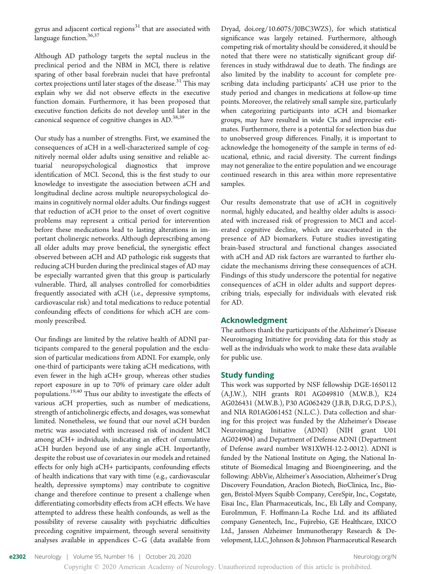gyrus and adjacent cortical regions $31$  that are associated with language function.<sup>36,37</sup>

Although AD pathology targets the septal nucleus in the preclinical period and the NBM in MCI, there is relative sparing of other basal forebrain nuclei that have prefrontal cortex projections until later stages of the disease.<sup>31</sup> This may explain why we did not observe effects in the executive function domain. Furthermore, it has been proposed that executive function deficits do not develop until later in the canonical sequence of cognitive changes in AD.<sup>38,39</sup>

Our study has a number of strengths. First, we examined the consequences of aCH in a well-characterized sample of cognitively normal older adults using sensitive and reliable actuarial neuropsychological diagnostics that improve identification of MCI. Second, this is the first study to our knowledge to investigate the association between aCH and longitudinal decline across multiple neuropsychological domains in cognitively normal older adults. Our findings suggest that reduction of aCH prior to the onset of overt cognitive problems may represent a critical period for intervention before these medications lead to lasting alterations in important cholinergic networks. Although deprescribing among all older adults may prove beneficial, the synergistic effect observed between aCH and AD pathologic risk suggests that reducing aCH burden during the preclinical stages of AD may be especially warranted given that this group is particularly vulnerable. Third, all analyses controlled for comorbidities frequently associated with aCH (i.e., depressive symptoms, cardiovascular risk) and total medications to reduce potential confounding effects of conditions for which aCH are commonly prescribed.

Our findings are limited by the relative health of ADNI participants compared to the general population and the exclusion of particular medications from ADNI. For example, only one-third of participants were taking aCH medications, with even fewer in the high aCH+ group, whereas other studies report exposure in up to 70% of primary care older adult populations.19,40 Thus our ability to investigate the effects of various aCH properties, such as number of medications, strength of anticholinergic effects, and dosages, was somewhat limited. Nonetheless, we found that our novel aCH burden metric was associated with increased risk of incident MCI among aCH+ individuals, indicating an effect of cumulative aCH burden beyond use of any single aCH. Importantly, despite the robust use of covariates in our models and retained effects for only high aCH+ participants, confounding effects of health indications that vary with time (e.g., cardiovascular health, depressive symptoms) may contribute to cognitive change and therefore continue to present a challenge when differentiating comorbidity effects from aCH effects. We have attempted to address these health confounds, as well as the possibility of reverse causality with psychiatric difficulties preceding cognitive impairment, through several sensitivity analyses available in appendices C–G (data available from

Dryad, [doi.org/10.6075/J0BC3WZS\)](https://doi.org/10.6075/J0BC3WZS), for which statistical significance was largely retained. Furthermore, although competing risk of mortality should be considered, it should be noted that there were no statistically significant group differences in study withdrawal due to death. The findings are also limited by the inability to account for complete prescribing data including participants' aCH use prior to the study period and changes in medications at follow-up time points. Moreover, the relatively small sample size, particularly when categorizing participants into aCH and biomarker groups, may have resulted in wide CIs and imprecise estimates. Furthermore, there is a potential for selection bias due to unobserved group differences. Finally, it is important to acknowledge the homogeneity of the sample in terms of educational, ethnic, and racial diversity. The current findings may not generalize to the entire population and we encourage continued research in this area within more representative samples.

Our results demonstrate that use of aCH in cognitively normal, highly educated, and healthy older adults is associated with increased risk of progression to MCI and accelerated cognitive decline, which are exacerbated in the presence of AD biomarkers. Future studies investigating brain-based structural and functional changes associated with aCH and AD risk factors are warranted to further elucidate the mechanisms driving these consequences of aCH. Findings of this study underscore the potential for negative consequences of aCH in older adults and support deprescribing trials, especially for individuals with elevated risk for AD.

#### Acknowledgment

The authors thank the participants of the Alzheimer's Disease Neuroimaging Initiative for providing data for this study as well as the individuals who work to make these data available for public use.

## Study funding

This work was supported by NSF fellowship DGE-1650112 (A.J.W.), NIH grants R01 AG049810 (M.W.B.), K24 AG026431 (M.W.B.), P30 AG062429 (J.B.B, D.R.G, D.P.S.), and NIA R01AG061452 (N.L.C.). Data collection and sharing for this project was funded by the Alzheimer's Disease Neuroimaging Initiative (ADNI) (NIH grant U01 AG024904) and Department of Defense ADNI (Department of Defense award number W81XWH-12-2-0012). ADNI is funded by the National Institute on Aging, the National Institute of Biomedical Imaging and Bioengineering, and the following: AbbVie, Alzheimer's Association, Alzheimer's Drug Discovery Foundation, Araclon Biotech, BioClinica, Inc., Biogen, Bristol-Myers Squibb Company, CereSpir, Inc., Cogstate, Eisai Inc., Elan Pharmaceuticals, Inc., Eli Lilly and Company, EuroImmun, F. Hoffmann-La Roche Ltd. and its affiliated company Genentech, Inc., Fujirebio, GE Healthcare, IXICO Ltd., Janssen Alzheimer Immunotherapy Research & Development, LLC, Johnson & Johnson Pharmaceutical Research

e2302 Neurology | Volume 95, Number 16 | October 20, 2020 [Neurology.org/N](http://neurology.org/n) Neurology.org/N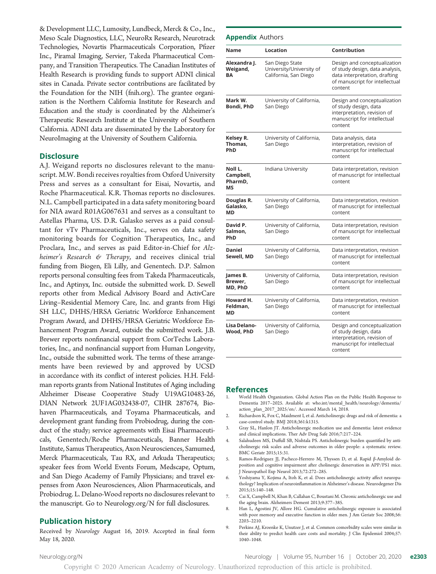& Development LLC, Lumosity, Lundbeck, Merck & Co., Inc., Meso Scale Diagnostics, LLC, NeuroRx Research, Neurotrack Technologies, Novartis Pharmaceuticals Corporation, Pfizer Inc., Piramal Imaging, Servier, Takeda Pharmaceutical Company, and Transition Therapeutics. The Canadian Institutes of Health Research is providing funds to support ADNI clinical sites in Canada. Private sector contributions are facilitated by the Foundation for the NIH ([fnih.org\)](http://www.fnih.org). The grantee organization is the Northern California Institute for Research and Education and the study is coordinated by the Alzheimer's Therapeutic Research Institute at the University of Southern California. ADNI data are disseminated by the Laboratory for NeuroImaging at the University of Southern California.

## **Disclosure**

A.J. Weigand reports no disclosures relevant to the manuscript. M.W. Bondi receives royalties from Oxford University Press and serves as a consultant for Eisai, Novartis, and Roche Pharmaceutical. K.R. Thomas reports no disclosures. N.L. Campbell participated in a data safety monitoring board for NIA award R01AG067631 and serves as a consultant to Astellas Pharma, US. D.R. Galasko serves as a paid consultant for vTv Pharmaceuticals, Inc., serves on data safety monitoring boards for Cognition Therapeutics, Inc., and Proclara, Inc., and serves as paid Editor-in-Chief for Alzheimer's Research & Therapy, and receives clinical trial funding from Biogen, Eli Lilly, and Genentech. D.P. Salmon reports personal consulting fees from Takeda Pharmaceuticals, Inc., and Aptinyx, Inc. outside the submitted work. D. Sewell reports other from Medical Advisory Board and ActivCare Living–Residential Memory Care, Inc. and grants from Higi SH LLC, DHHS/HRSA Geriatric Workforce Enhancement Program Award, and DHHS/HRSA Geriatric Workforce Enhancement Program Award, outside the submitted work. J.B. Brewer reports nonfinancial support from CorTechs Laboratories, Inc., and nonfinancial support from Human Longevity, Inc., outside the submitted work. The terms of these arrangements have been reviewed by and approved by UCSD in accordance with its conflict of interest policies. H.H. Feldman reports grants from National Institutes of Aging including Alzheimer Disease Cooperative Study U19AG10483-26, DIAN Network 2UF1AG032438-07, CIHR 287674, Biohaven Pharmaceuticals, and Toyama Pharmaceuticals, and development grant funding from Probiodrug, during the conduct of the study; service agreements with Eisai Pharmaceuticals, Genentech/Roche Pharmaceuticals, Banner Health Institute, Samus Therapeutics, Axon Neurosciences, Samumed, Merck Pharmaceuticals, Tau RX, and Arkuda Therapeutics; speaker fees from World Events Forum, Medscape, Optum, and San Diego Academy of Family Physicians; and travel expenses from Axon Neurosciences, Alion Pharmaceuticals, and Probiodrug. L. Delano-Wood reports no disclosures relevant to the manuscript. Go to [Neurology.org/N](https://n.neurology.org/lookup/doi/10.1212/WNL.0000000000010643) for full disclosures.

# Publication history

Received by Neurology August 16, 2019. Accepted in final form May 18, 2020.

#### **Appendix Authors**

| Name                                  | Location                                                             | Contribution                                                                                                                                  |
|---------------------------------------|----------------------------------------------------------------------|-----------------------------------------------------------------------------------------------------------------------------------------------|
| Alexandra J.<br>Weigand,<br>ΒA        | San Diego State<br>University/University of<br>California, San Diego | Design and conceptualization<br>of study design, data analysis,<br>data interpretation, drafting<br>of manuscript for intellectual<br>content |
| Mark W.<br>Bondi, PhD                 | University of California,<br>San Diego                               | Design and conceptualization<br>of study design, data<br>interpretation, revision of<br>manuscript for intellectual<br>content                |
| Kelsey R.<br>Thomas,<br>PhD           | University of California,<br>San Diego                               | Data analysis, data<br>interpretation, revision of<br>manuscript for intellectual<br>content                                                  |
| Noll L.<br>Campbell,<br>PharmD,<br>мs | Indiana University                                                   | Data interpretation, revision<br>of manuscript for intellectual<br>content                                                                    |
| Douglas R.<br>Galasko,<br>МD          | University of California,<br>San Diego                               | Data interpretation, revision<br>of manuscript for intellectual<br>content                                                                    |
| David P.<br>Salmon,<br>PhD            | University of California,<br>San Diego                               | Data interpretation, revision<br>of manuscript for intellectual<br>content                                                                    |
| Daniel<br>Sewell, MD                  | University of California,<br>San Diego                               | Data interpretation, revision<br>of manuscript for intellectual<br>content                                                                    |
| James B.<br>Brewer,<br>MD, PhD        | University of California,<br>San Diego                               | Data interpretation, revision<br>of manuscript for intellectual<br>content                                                                    |
| Howard H.<br>Feldman,<br>МD           | University of California,<br>San Diego                               | Data interpretation, revision<br>of manuscript for intellectual<br>content                                                                    |
| Lisa Delano-<br>Wood, PhD             | University of California,<br>San Diego                               | Design and conceptualization<br>of study design, data<br>interpretation, revision of<br>manuscript for intellectual<br>content                |

#### References

- 1. World Health Organization. Global Action Plan on the Public Health Response to Dementia 2017–2025. Available at: [who.int/mental\\_health/neurology/dementia/](http://www.who.int/mental_health/neurology/dementia/action_plan_2017_2025/en/) [action\\_plan\\_2017\\_2025/en/](http://www.who.int/mental_health/neurology/dementia/action_plan_2017_2025/en/). Accessed March 14, 2018.
- 2. Richardson  $\overline{K}$ ,  $\overline{Fox}$ C, Maidment I, et al. Anticholinergic drugs and risk of dementia: a case-control study. BMJ 2018;361:k1315.
- 3. Gray SL, Hanlon JT. Anticholinergic medication use and dementia: latest evidence and clinical implications. Ther Adv Drug Safe 2016;7:217–224.
- 4. Salahudeen MS, Duffull SB, Nishtala PS. Anticholinergic burden quantified by anticholinergic risk scales and adverse outcomes in older people: a systematic review. BMC Geriatr 2015;15:31.
- 5. Ramos-Rodriguez JJ, Pacheco-Herrero M, Thyssen D, et al. Rapid β-Amyloid deposition and cognitive impairment after cholinergic denervation in APP/PS1 mice. J Neuropathol Exp Neurol 2013;72:272–285.
- Yoshiyama Y, Kojima A, Itoh K, et al. Does anticholinergic activity affect neuropathology? Implication of neuroinflammation in Alzheimer's disease. Neurodegener Dis 2015;15:140–148.
- 7. Cai X, Campbell N, Khan B, Callahan C, Boustani M. Chronic anticholinergic use and the aging brain. Alzheimers Dement 2013;9:377–385.
- 8. Han L, Agostini JV, Allore HG. Cumulative anticholinergic exposure is associated with poor memory and executive function in older men. J Am Geriatr Soc 2008;56: 2203–2210.
- 9. Perkins AJ, Kroenke K, Unutzer J, et al. Common comorbidity scales were similar in their ability to predict health care costs and mortality. J Clin Epidemiol 2004;57: 1040–1048.